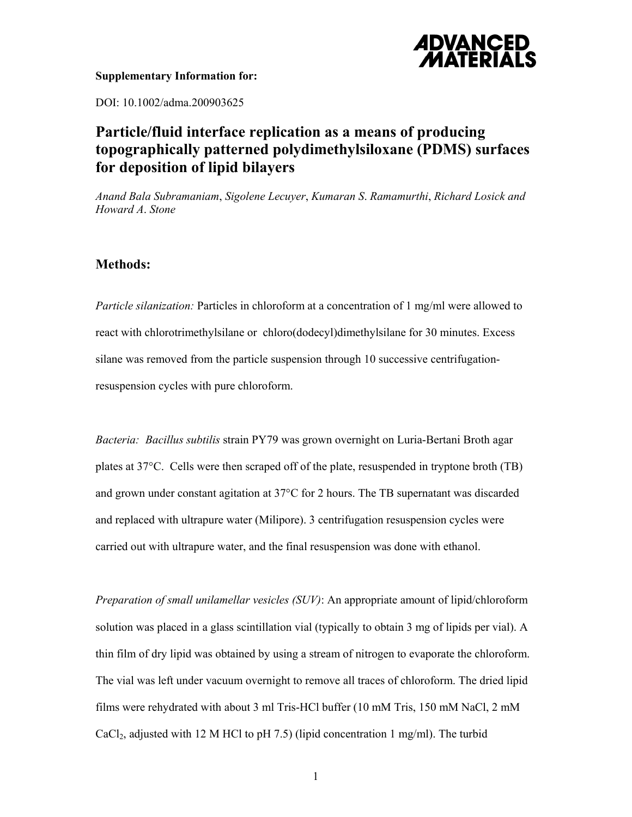

## **Supplementary Information for:**

DOI: 10.1002/adma.200903625

## **Particle/fluid interface replication as a means of producing topographically patterned polydimethylsiloxane (PDMS) surfaces for deposition of lipid bilayers**

*Anand Bala Subramaniam*, *Sigolene Lecuyer*, *Kumaran S*. *Ramamurthi*, *Richard Losick and Howard A*. *Stone* 

## **Methods:**

*Particle silanization:* Particles in chloroform at a concentration of 1 mg/ml were allowed to react with chlorotrimethylsilane or chloro(dodecyl)dimethylsilane for 30 minutes. Excess silane was removed from the particle suspension through 10 successive centrifugationresuspension cycles with pure chloroform.

*Bacteria: Bacillus subtilis* strain PY79 was grown overnight on Luria-Bertani Broth agar plates at 37°C. Cells were then scraped off of the plate, resuspended in tryptone broth (TB) and grown under constant agitation at 37°C for 2 hours. The TB supernatant was discarded and replaced with ultrapure water (Milipore). 3 centrifugation resuspension cycles were carried out with ultrapure water, and the final resuspension was done with ethanol.

*Preparation of small unilamellar vesicles (SUV)*: An appropriate amount of lipid/chloroform solution was placed in a glass scintillation vial (typically to obtain 3 mg of lipids per vial). A thin film of dry lipid was obtained by using a stream of nitrogen to evaporate the chloroform. The vial was left under vacuum overnight to remove all traces of chloroform. The dried lipid films were rehydrated with about 3 ml Tris-HCl buffer (10 mM Tris, 150 mM NaCl, 2 mM CaCl<sub>2</sub>, adjusted with 12 M HCl to pH 7.5) (lipid concentration 1 mg/ml). The turbid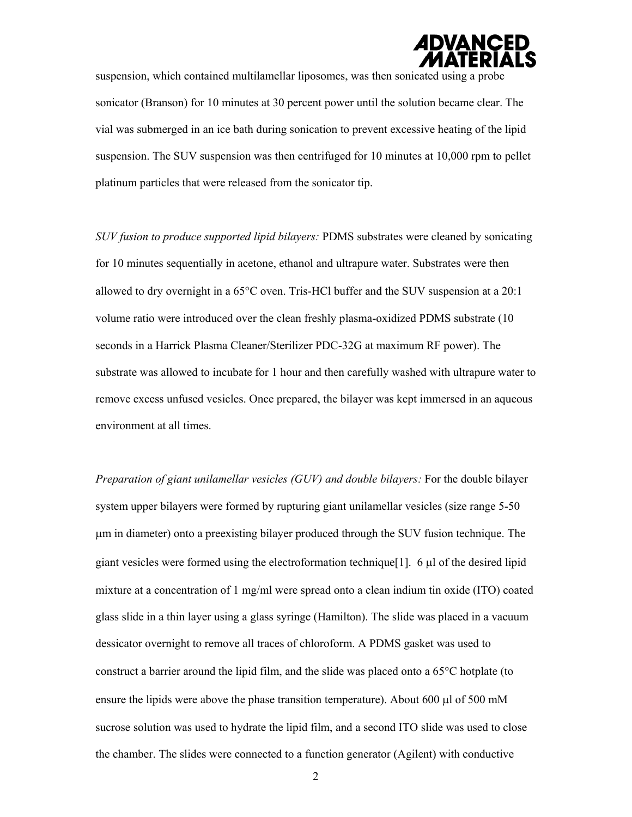

suspension, which contained multilamellar liposomes, was then sonicated using a probe sonicator (Branson) for 10 minutes at 30 percent power until the solution became clear. The vial was submerged in an ice bath during sonication to prevent excessive heating of the lipid suspension. The SUV suspension was then centrifuged for 10 minutes at 10,000 rpm to pellet platinum particles that were released from the sonicator tip.

*SUV fusion to produce supported lipid bilayers:* PDMS substrates were cleaned by sonicating for 10 minutes sequentially in acetone, ethanol and ultrapure water. Substrates were then allowed to dry overnight in a 65°C oven. Tris-HCl buffer and the SUV suspension at a 20:1 volume ratio were introduced over the clean freshly plasma-oxidized PDMS substrate (10 seconds in a Harrick Plasma Cleaner/Sterilizer PDC-32G at maximum RF power). The substrate was allowed to incubate for 1 hour and then carefully washed with ultrapure water to remove excess unfused vesicles. Once prepared, the bilayer was kept immersed in an aqueous environment at all times.

*Preparation of giant unilamellar vesicles (GUV) and double bilayers:* For the double bilayer system upper bilayers were formed by rupturing giant unilamellar vesicles (size range 5-50 μm in diameter) onto a preexisting bilayer produced through the SUV fusion technique. The giant vesicles were formed using the electroformation technique [1]. 6  $\mu$  of the desired lipid mixture at a concentration of 1 mg/ml were spread onto a clean indium tin oxide (ITO) coated glass slide in a thin layer using a glass syringe (Hamilton). The slide was placed in a vacuum dessicator overnight to remove all traces of chloroform. A PDMS gasket was used to construct a barrier around the lipid film, and the slide was placed onto a 65°C hotplate (to ensure the lipids were above the phase transition temperature). About 600 μl of 500 mM sucrose solution was used to hydrate the lipid film, and a second ITO slide was used to close the chamber. The slides were connected to a function generator (Agilent) with conductive

2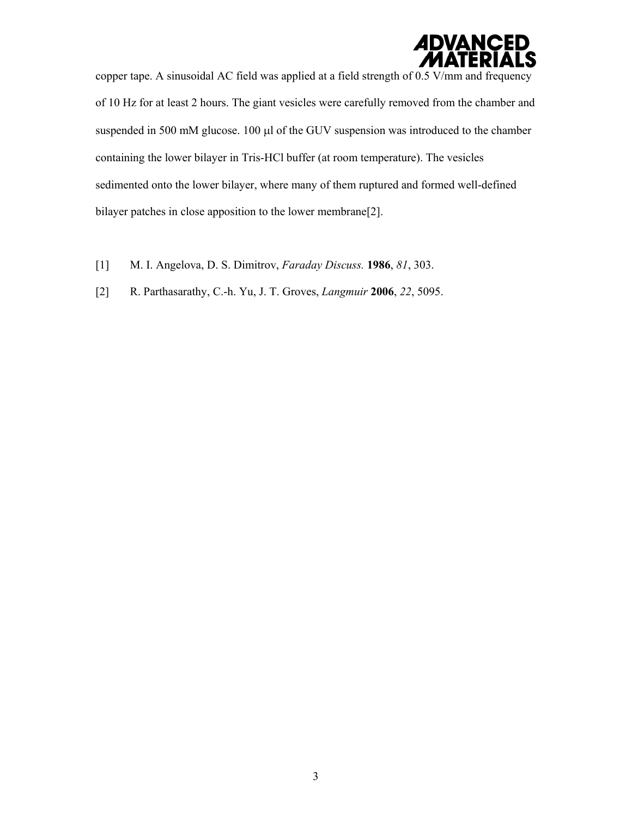

copper tape. A sinusoidal AC field was applied at a field strength of 0.5 V/mm and frequency of 10 Hz for at least 2 hours. The giant vesicles were carefully removed from the chamber and suspended in 500 mM glucose. 100 μl of the GUV suspension was introduced to the chamber containing the lower bilayer in Tris-HCl buffer (at room temperature). The vesicles sedimented onto the lower bilayer, where many of them ruptured and formed well-defined bilayer patches in close apposition to the lower membrane[2].

- [1] M. I. Angelova, D. S. Dimitrov, *Faraday Discuss.* **1986**, *81*, 303.
- [2] R. Parthasarathy, C.-h. Yu, J. T. Groves, *Langmuir* **2006**, *22*, 5095.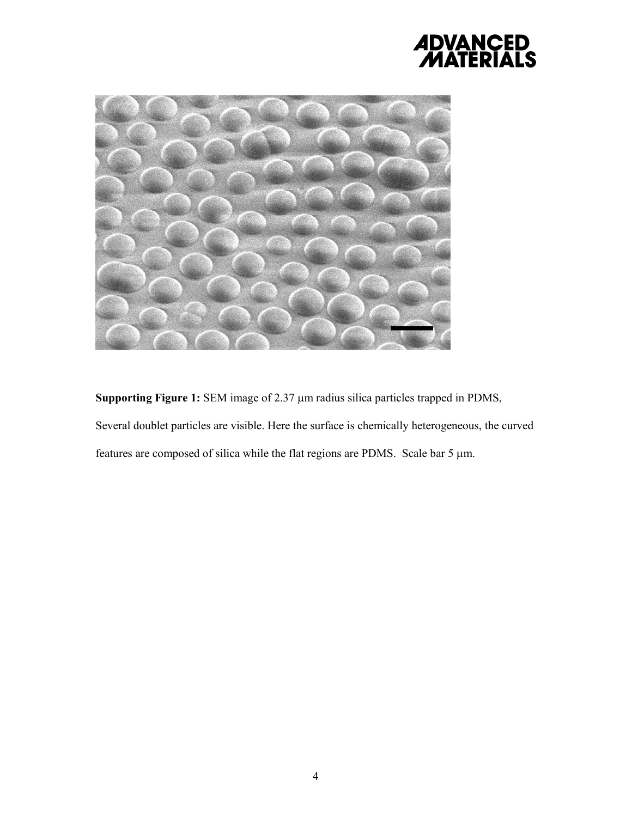## *ADVANCED<br>MATERIALS*



**Supporting Figure 1:** SEM image of 2.37 μm radius silica particles trapped in PDMS, Several doublet particles are visible. Here the surface is chemically heterogeneous, the curved features are composed of silica while the flat regions are PDMS. Scale bar 5 μm.